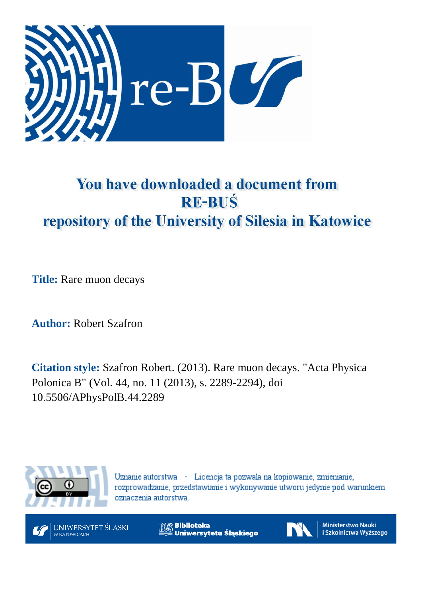

# You have downloaded a document from **RE-BUŚ** repository of the University of Silesia in Katowice

**Title:** Rare muon decays

**Author:** Robert Szafron

**Citation style:** Szafron Robert. (2013). Rare muon decays. "Acta Physica Polonica B" (Vol. 44, no. 11 (2013), s. 2289-2294), doi 10.5506/APhysPolB.44.2289



Uznanie autorstwa - Licencja ta pozwala na kopiowanie, zmienianie, rozprowadzanie, przedstawianie i wykonywanie utworu jedynie pod warunkiem oznaczenia autorstwa.



**Biblioteka** Uniwersytetu Śląskiego



Ministerstwo Nauki i Szkolnictwa Wyższego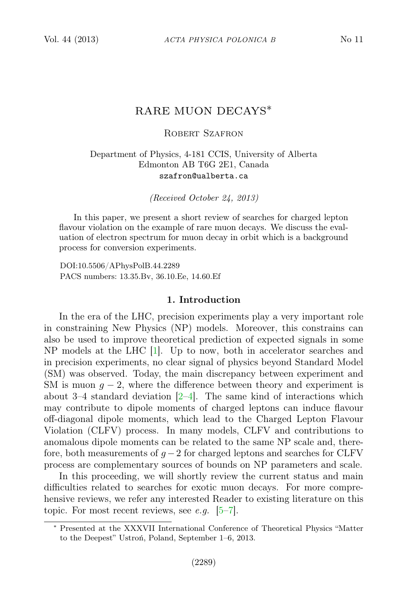# RARE MUON DECAYS∗

#### ROBERT SZAFRON

# Department of Physics, 4-181 CCIS, University of Alberta Edmonton AB T6G 2E1, Canada szafron@ualberta.ca

(Received October 24, 2013)

In this paper, we present a short review of searches for charged lepton flavour violation on the example of rare muon decays. We discuss the evaluation of electron spectrum for muon decay in orbit which is a background process for conversion experiments.

DOI:10.5506/APhysPolB.44.2289 PACS numbers: 13.35.Bv, 36.10.Ee, 14.60.Ef

#### 1. Introduction

In the era of the LHC, precision experiments play a very important role in constraining New Physics (NP) models. Moreover, this constrains can also be used to improve theoretical prediction of expected signals in some NP models at the LHC [\[1\]](#page-5-0). Up to now, both in accelerator searches and in precision experiments, no clear signal of physics beyond Standard Model (SM) was observed. Today, the main discrepancy between experiment and SM is muon  $q - 2$ , where the difference between theory and experiment is about 3–4 standard deviation  $[2-4]$  $[2-4]$ . The same kind of interactions which may contribute to dipole moments of charged leptons can induce flavour off-diagonal dipole moments, which lead to the Charged Lepton Flavour Violation (CLFV) process. In many models, CLFV and contributions to anomalous dipole moments can be related to the same NP scale and, therefore, both measurements of  $g - 2$  for charged leptons and searches for CLFV process are complementary sources of bounds on NP parameters and scale.

In this proceeding, we will shortly review the current status and main difficulties related to searches for exotic muon decays. For more comprehensive reviews, we refer any interested Reader to existing literature on this topic. For most recent reviews, see e.g.  $[5-7]$  $[5-7]$ .

<sup>∗</sup> Presented at the XXXVII International Conference of Theoretical Physics "Matter to the Deepest" Ustroń, Poland, September 1–6, 2013.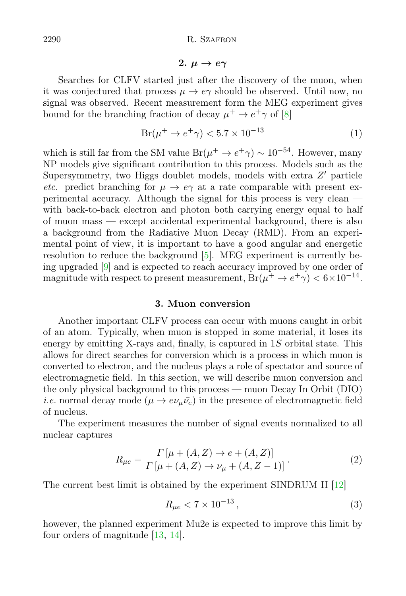# 2.  $\mu \rightarrow e \gamma$

Searches for CLFV started just after the discovery of the muon, when it was conjectured that process  $\mu \to e\gamma$  should be observed. Until now, no signal was observed. Recent measurement form the MEG experiment gives bound for the branching fraction of decay  $\mu^+ \to e^+ \gamma$  of [\[8\]](#page-5-5)

$$
Br(\mu^+ \to e^+ \gamma) < 5.7 \times 10^{-13} \tag{1}
$$

which is still far from the SM value  $Br(\mu^+ \to e^+ \gamma) \sim 10^{-54}$ . However, many NP models give significant contribution to this process. Models such as the Supersymmetry, two Higgs doublet models, models with extra  $Z'$  particle etc. predict branching for  $\mu \to e\gamma$  at a rate comparable with present experimental accuracy. Although the signal for this process is very clean with back-to-back electron and photon both carrying energy equal to half of muon mass — except accidental experimental background, there is also a background from the Radiative Muon Decay (RMD). From an experimental point of view, it is important to have a good angular and energetic resolution to reduce the background [\[5\]](#page-5-3). MEG experiment is currently being upgraded [\[9\]](#page-5-6) and is expected to reach accuracy improved by one order of magnitude with respect to present measurement,  $Br(\mu^+ \to e^+ \gamma) < 6 \times 10^{-14}$ .

#### 3. Muon conversion

Another important CLFV process can occur with muons caught in orbit of an atom. Typically, when muon is stopped in some material, it loses its energy by emitting X-rays and, finally, is captured in  $1S$  orbital state. This allows for direct searches for conversion which is a process in which muon is converted to electron, and the nucleus plays a role of spectator and source of electromagnetic field. In this section, we will describe muon conversion and the only physical background to this process — muon Decay In Orbit (DIO) *i.e.* normal decay mode  $(\mu \to e \nu_{\mu} \bar{\nu}_{e})$  in the presence of electromagnetic field of nucleus.

The experiment measures the number of signal events normalized to all nuclear captures

$$
R_{\mu e} = \frac{\Gamma\left[\mu + (A, Z) \to e + (A, Z)\right]}{\Gamma\left[\mu + (A, Z) \to \nu_{\mu} + (A, Z - 1)\right]}.
$$
 (2)

The current best limit is obtained by the experiment SINDRUM II [\[12\]](#page-6-0)

$$
R_{\mu e} < 7 \times 10^{-13} \,, \tag{3}
$$

however, the planned experiment Mu2e is expected to improve this limit by four orders of magnitude [\[13,](#page-6-1) [14\]](#page-6-2).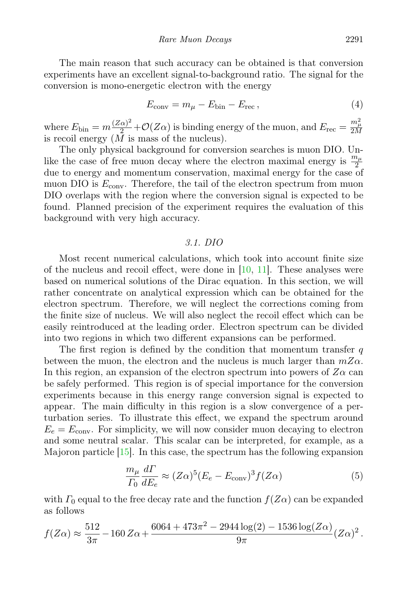The main reason that such accuracy can be obtained is that conversion experiments have an excellent signal-to-background ratio. The signal for the conversion is mono-energetic electron with the energy

$$
E_{\text{conv}} = m_{\mu} - E_{\text{bin}} - E_{\text{rec}}\,,\tag{4}
$$

where  $E_{\text{bin}} = m \frac{(Z\alpha)^2}{2} + \mathcal{O}(Z\alpha)$  is binding energy of the muon, and  $E_{\text{rec}} = \frac{m_{\mu}^2}{2M}$ is recoil energy  $(\tilde{M}$  is mass of the nucleus).

The only physical background for conversion searches is muon DIO. Unlike the case of free muon decay where the electron maximal energy is  $\frac{m_{\mu}}{2}$ due to energy and momentum conservation, maximal energy for the case of muon DIO is  $E_{\text{conv}}$ . Therefore, the tail of the electron spectrum from muon DIO overlaps with the region where the conversion signal is expected to be found. Planned precision of the experiment requires the evaluation of this background with very high accuracy.

# 3.1. DIO

Most recent numerical calculations, which took into account finite size of the nucleus and recoil effect, were done in  $[10, 11]$  $[10, 11]$  $[10, 11]$ . These analyses were based on numerical solutions of the Dirac equation. In this section, we will rather concentrate on analytical expression which can be obtained for the electron spectrum. Therefore, we will neglect the corrections coming from the finite size of nucleus. We will also neglect the recoil effect which can be easily reintroduced at the leading order. Electron spectrum can be divided into two regions in which two different expansions can be performed.

The first region is defined by the condition that momentum transfer  $q$ between the muon, the electron and the nucleus is much larger than  $mZ\alpha$ . In this region, an expansion of the electron spectrum into powers of  $Z\alpha$  can be safely performed. This region is of special importance for the conversion experiments because in this energy range conversion signal is expected to appear. The main difficulty in this region is a slow convergence of a perturbation series. To illustrate this effect, we expand the spectrum around  $E_e = E_{\text{conv}}$ . For simplicity, we will now consider muon decaying to electron and some neutral scalar. This scalar can be interpreted, for example, as a Majoron particle [\[15\]](#page-6-5). In this case, the spectrum has the following expansion

$$
\frac{m_{\mu}}{T_0} \frac{d\Gamma}{dE_e} \approx (Z\alpha)^5 (E_e - E_{\text{conv}})^3 f(Z\alpha)
$$
 (5)

with  $\Gamma_0$  equal to the free decay rate and the function  $f(Z\alpha)$  can be expanded as follows

$$
f(Z\alpha) \approx \frac{512}{3\pi} - 160 Z\alpha + \frac{6064 + 473\pi^2 - 2944 \log(2) - 1536 \log(Z\alpha)}{9\pi} (Z\alpha)^2.
$$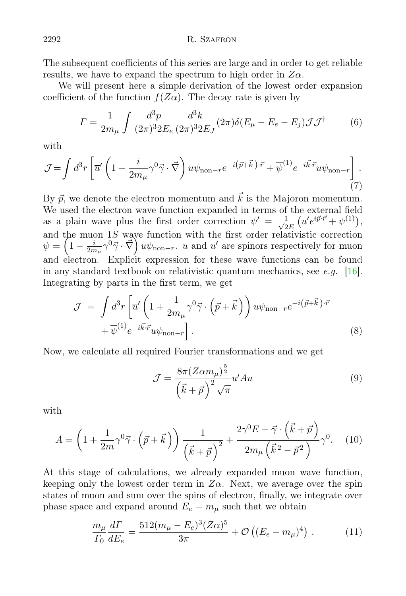The subsequent coefficients of this series are large and in order to get reliable results, we have to expand the spectrum to high order in  $Z\alpha$ .

We will present here a simple derivation of the lowest order expansion coefficient of the function  $f(Z\alpha)$ . The decay rate is given by

$$
\Gamma = \frac{1}{2m_{\mu}} \int \frac{d^3 p}{(2\pi)^3 2E_e} \frac{d^3 k}{(2\pi)^3 2E_J} (2\pi) \delta(E_{\mu} - E_e - E_j) \mathcal{J} \mathcal{J}^{\dagger} \tag{6}
$$

with

$$
\mathcal{J} = \int d^3r \left[ \overline{u}' \left( 1 - \frac{i}{2m_\mu} \gamma^0 \vec{\gamma} \cdot \vec{\nabla} \right) u \psi_{\text{non}-r} e^{-i \left( \vec{p} + \vec{k} \right) \cdot \vec{r}} + \overline{\psi}^{(1)} e^{-i \vec{k} \cdot \vec{r}} u \psi_{\text{non}-r} \right]. \tag{7}
$$

By  $\vec{p}$ , we denote the electron momentum and  $\vec{k}$  is the Majoron momentum. We used the electron wave function expanded in terms of the external field as a plain wave plus the first order correction  $\psi' = \frac{1}{\sqrt{2}}$  $\frac{1}{2E}\left(u'e^{i\vec{p}\cdot\vec{r}}+\psi^{(1)}\right),$ and the muon  $1S$  wave function with the first order relativistic correction  $\psi = \left(1 - \frac{i}{2m}\right)$  $\frac{i}{2m_{\mu}}\gamma^0\vec{\gamma}\cdot\vec{\nabla}\right)u\psi_{\text{non}-r}$ . *u* and *u'* are spinors respectively for muon and electron. Explicit expression for these wave functions can be found in any standard textbook on relativistic quantum mechanics, see e.g. [\[16\]](#page-6-6). Integrating by parts in the first term, we get

$$
\mathcal{J} = \int d^3r \left[ \overline{u}' \left( 1 + \frac{1}{2m_{\mu}} \gamma^0 \vec{\gamma} \cdot \left( \vec{p} + \vec{k} \right) \right) u \psi_{\text{non-}r} e^{-i \left( \vec{p} + \vec{k} \right) \cdot \vec{r}} + \overline{\psi}^{(1)} e^{-i \vec{k} \cdot \vec{r}} u \psi_{\text{non-}r} \right]. \tag{8}
$$

Now, we calculate all required Fourier transformations and we get

$$
\mathcal{J} = \frac{8\pi (Z\alpha m_{\mu})^{\frac{5}{2}}}{\left(\vec{k} + \vec{p}\right)^2 \sqrt{\pi}} \overline{u'} Au
$$
\n(9)

with

$$
A = \left(1 + \frac{1}{2m}\gamma^0\vec{\gamma}\cdot(\vec{p} + \vec{k})\right)\frac{1}{\left(\vec{k} + \vec{p}\right)^2} + \frac{2\gamma^0E - \vec{\gamma}\cdot(\vec{k} + \vec{p})}{2m_\mu\left(\vec{k}^2 - \vec{p}^2\right)}\gamma^0. \tag{10}
$$

At this stage of calculations, we already expanded muon wave function, keeping only the lowest order term in  $Z\alpha$ . Next, we average over the spin states of muon and sum over the spins of electron, finally, we integrate over phase space and expand around  $E_e = m_\mu$  such that we obtain

$$
\frac{m_{\mu}}{T_0} \frac{d\Gamma}{dE_e} = \frac{512(m_{\mu} - E_e)^3 (Z\alpha)^5}{3\pi} + \mathcal{O}\left((E_e - m_{\mu})^4\right) \,. \tag{11}
$$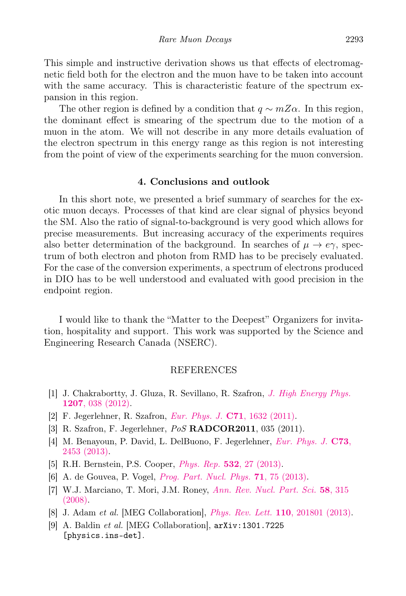This simple and instructive derivation shows us that effects of electromagnetic field both for the electron and the muon have to be taken into account with the same accuracy. This is characteristic feature of the spectrum expansion in this region.

The other region is defined by a condition that  $q \sim mZ\alpha$ . In this region, the dominant effect is smearing of the spectrum due to the motion of a muon in the atom. We will not describe in any more details evaluation of the electron spectrum in this energy range as this region is not interesting from the point of view of the experiments searching for the muon conversion.

# 4. Conclusions and outlook

In this short note, we presented a brief summary of searches for the exotic muon decays. Processes of that kind are clear signal of physics beyond the SM. Also the ratio of signal-to-background is very good which allows for precise measurements. But increasing accuracy of the experiments requires also better determination of the background. In searches of  $\mu \to e\gamma$ , spectrum of both electron and photon from RMD has to be precisely evaluated. For the case of the conversion experiments, a spectrum of electrons produced in DIO has to be well understood and evaluated with good precision in the endpoint region.

I would like to thank the "Matter to the Deepest" Organizers for invitation, hospitality and support. This work was supported by the Science and Engineering Research Canada (NSERC).

#### REFERENCES

- <span id="page-5-0"></span>[1] J. Chakrabortty, J. Gluza, R. Sevillano, R. Szafron, [J. High Energy Phys.](http://dx.doi.org/10.1007/JHEP07(2012)038) 1207[, 038 \(2012\).](http://dx.doi.org/10.1007/JHEP07(2012)038)
- <span id="page-5-1"></span>[2] F. Jegerlehner, R. Szafron, [Eur. Phys. J.](http://dx.doi.org/10.1140/epjc/s10052-011-1632-3) C71, 1632 (2011).
- [3] R. Szafron, F. Jegerlehner, PoS RADCOR2011, 035 (2011).
- <span id="page-5-2"></span>[4] M. Benayoun, P. David, L. DelBuono, F. Jegerlehner, [Eur. Phys. J.](http://dx.doi.org/10.1140/epjc/s10052-013-2453-3 ) C73, [2453 \(2013\).](http://dx.doi.org/10.1140/epjc/s10052-013-2453-3 )
- <span id="page-5-3"></span>[5] R.H. Bernstein, P.S. Cooper, Phys. Rep. 532[, 27 \(2013\).](http://dx.doi.org/10.1016/j.physrep.2013.07.002)
- [6] A. de Gouvea, P. Vogel, [Prog. Part. Nucl. Phys.](http://dx.doi.org/10.1016/j.ppnp.2013.03.006) 71, 75 (2013).
- <span id="page-5-4"></span>[7] W.J. Marciano, T. Mori, J.M. Roney, [Ann. Rev. Nucl. Part. Sci.](http://dx.doi.org/10.1146/annurev.nucl.58.110707.171126) 58, 315 [\(2008\).](http://dx.doi.org/10.1146/annurev.nucl.58.110707.171126)
- <span id="page-5-5"></span>[8] J. Adam et al. [MEG Collaboration], [Phys. Rev. Lett.](http://dx.doi.org/10.1103/PhysRevLett.110.201801) 110, 201801 (2013).
- <span id="page-5-6"></span>[9] A. Baldin et al. [MEG Collaboration], arXiv:1301.7225 [physics.ins-det].